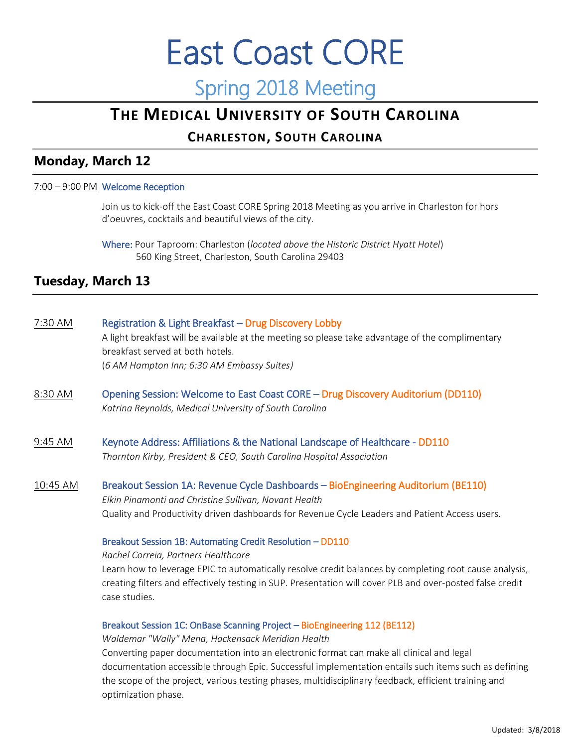# East Coast CORE Spring 2018 Meeting

# **THE MEDICAL UNIVERSITY OF SOUTH CAROLINA**

# **CHARLESTON, SOUTH CAROLINA**

# **Monday, March 12**

# 7:00 – 9:00 PM Welcome Reception

Join us to kick-off the East Coast CORE Spring 2018 Meeting as you arrive in Charleston for hors d'oeuvres, cocktails and beautiful views of the city.

Where: Pour Taproom: Charleston (*located above the Historic District Hyatt Hotel*) 560 King Street, Charleston, South Carolina 29403

# **Tuesday, March 13**

# 7:30 AM Registration & Light Breakfast – Drug Discovery Lobby

A light breakfast will be available at the meeting so please take advantage of the complimentary breakfast served at both hotels. (*6 AM Hampton Inn; 6:30 AM Embassy Suites)*

8:30 AM Opening Session: Welcome to East Coast CORE – Drug Discovery Auditorium (DD110) *Katrina Reynolds, Medical University of South Carolina*

# 9:45 AM Keynote Address: Affiliations & the National Landscape of Healthcare - DD110 *Thornton Kirby, President & CEO, South Carolina Hospital Association*

10:45 AM Breakout Session 1A: Revenue Cycle Dashboards – BioEngineering Auditorium (BE110) *Elkin Pinamonti and Christine Sullivan, Novant Health* Quality and Productivity driven dashboards for Revenue Cycle Leaders and Patient Access users.

# Breakout Session 1B: Automating Credit Resolution – DD110

*Rachel Correia, Partners Healthcare* Learn how to leverage EPIC to automatically resolve credit balances by completing root cause analysis, creating filters and effectively testing in SUP. Presentation will cover PLB and over-posted false credit case studies.

# Breakout Session 1C: OnBase Scanning Project – BioEngineering 112 (BE112)

# *Waldemar "Wally" Mena, Hackensack Meridian Health*

Converting paper documentation into an electronic format can make all clinical and legal documentation accessible through Epic. Successful implementation entails such items such as defining the scope of the project, various testing phases, multidisciplinary feedback, efficient training and optimization phase.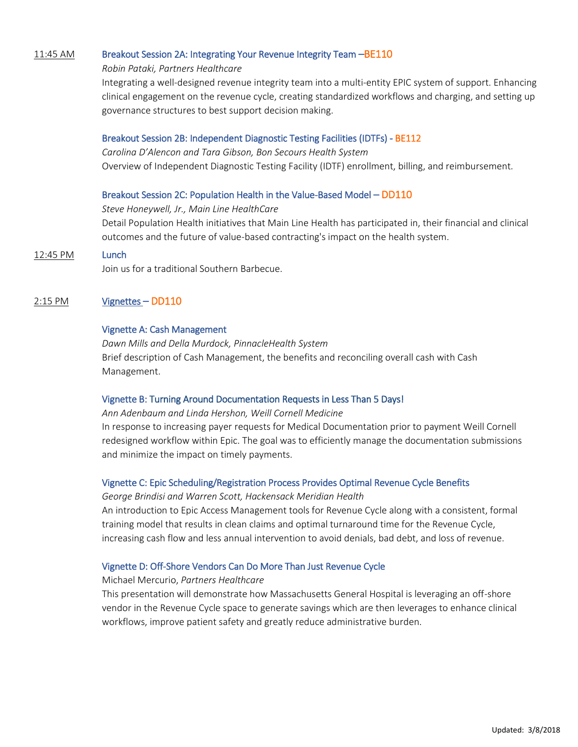## 11:45 AM Breakout Session 2A: Integrating Your Revenue Integrity Team -BE110

#### *Robin Pataki, Partners Healthcare*

Integrating a well-designed revenue integrity team into a multi-entity EPIC system of support. Enhancing clinical engagement on the revenue cycle, creating standardized workflows and charging, and setting up governance structures to best support decision making.

#### Breakout Session 2B: Independent Diagnostic Testing Facilities (IDTFs) - BE112

*Carolina D'Alencon and Tara Gibson, Bon Secours Health System* Overview of Independent Diagnostic Testing Facility (IDTF) enrollment, billing, and reimbursement.

## Breakout Session 2C: Population Health in the Value-Based Model – DD110

#### *Steve Honeywell, Jr., Main Line HealthCare*

Detail Population Health initiatives that Main Line Health has participated in, their financial and clinical outcomes and the future of value-based contracting's impact on the health system.

#### 12:45 PM Lunch

Join us for a traditional Southern Barbecue.

# 2:15 PM Vignettes – DD110

## Vignette A: Cash Management

*Dawn Mills and Della Murdock, PinnacleHealth System* Brief description of Cash Management, the benefits and reconciling overall cash with Cash Management.

# Vignette B: Turning Around Documentation Requests in Less Than 5 Days!

#### *Ann Adenbaum and Linda Hershon, Weill Cornell Medicine*

In response to increasing payer requests for Medical Documentation prior to payment Weill Cornell redesigned workflow within Epic. The goal was to efficiently manage the documentation submissions and minimize the impact on timely payments.

#### Vignette C: Epic Scheduling/Registration Process Provides Optimal Revenue Cycle Benefits

#### *George Brindisi and Warren Scott, Hackensack Meridian Health*

An introduction to Epic Access Management tools for Revenue Cycle along with a consistent, formal training model that results in clean claims and optimal turnaround time for the Revenue Cycle, increasing cash flow and less annual intervention to avoid denials, bad debt, and loss of revenue.

# Vignette D: Off-Shore Vendors Can Do More Than Just Revenue Cycle

#### Michael Mercurio, *Partners Healthcare*

This presentation will demonstrate how Massachusetts General Hospital is leveraging an off-shore vendor in the Revenue Cycle space to generate savings which are then leverages to enhance clinical workflows, improve patient safety and greatly reduce administrative burden.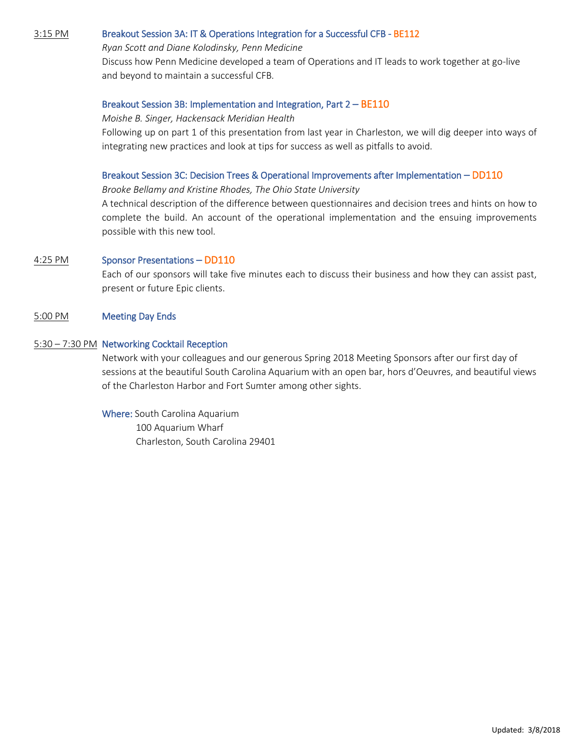## 3:15 PM Breakout Session 3A: IT & Operations Integration for a Successful CFB - BE112

#### *Ryan Scott and Diane Kolodinsky, Penn Medicine*

Discuss how Penn Medicine developed a team of Operations and IT leads to work together at go-live and beyond to maintain a successful CFB.

#### Breakout Session 3B: Implementation and Integration, Part 2 – BE110

#### *Moishe B. Singer, Hackensack Meridian Health*

Following up on part 1 of this presentation from last year in Charleston, we will dig deeper into ways of integrating new practices and look at tips for success as well as pitfalls to avoid.

#### Breakout Session 3C: Decision Trees & Operational Improvements after Implementation – DD110

*Brooke Bellamy and Kristine Rhodes, The Ohio State University*

A technical description of the difference between questionnaires and decision trees and hints on how to complete the build. An account of the operational implementation and the ensuing improvements possible with this new tool.

## 4:25 PM Sponsor Presentations – DD110

Each of our sponsors will take five minutes each to discuss their business and how they can assist past, present or future Epic clients.

## 5:00 PM Meeting Day Ends

#### 5:30 – 7:30 PM Networking Cocktail Reception

Network with your colleagues and our generous Spring 2018 Meeting Sponsors after our first day of sessions at the beautiful South Carolina Aquarium with an open bar, hors d'Oeuvres, and beautiful views of the Charleston Harbor and Fort Sumter among other sights.

Where: South Carolina Aquarium 100 Aquarium Wharf Charleston, South Carolina 29401